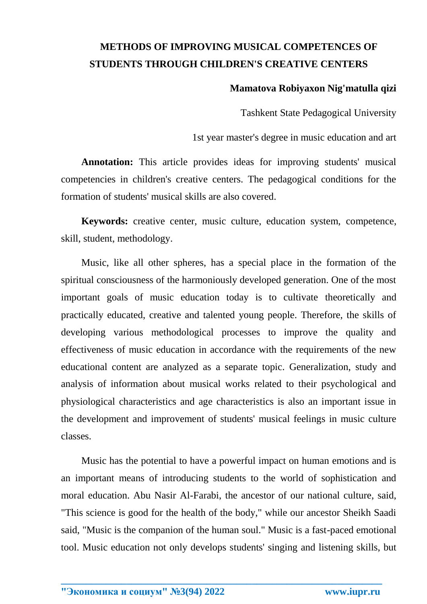## **METHODS OF IMPROVING MUSICAL COMPETENCES OF STUDENTS THROUGH CHILDREN'S CREATIVE CENTERS**

## **Mamatova Robiyaxon Nig'matulla qizi**

Tashkent State Pedagogical University

1st year master's degree in music education and art

**Annotation:** This article provides ideas for improving students' musical competencies in children's creative centers. The pedagogical conditions for the formation of students' musical skills are also covered.

**Keywords:** creative center, music culture, education system, competence, skill, student, methodology.

Music, like all other spheres, has a special place in the formation of the spiritual consciousness of the harmoniously developed generation. One of the most important goals of music education today is to cultivate theoretically and practically educated, creative and talented young people. Therefore, the skills of developing various methodological processes to improve the quality and effectiveness of music education in accordance with the requirements of the new educational content are analyzed as a separate topic. Generalization, study and analysis of information about musical works related to their psychological and physiological characteristics and age characteristics is also an important issue in the development and improvement of students' musical feelings in music culture classes.

Music has the potential to have a powerful impact on human emotions and is an important means of introducing students to the world of sophistication and moral education. Abu Nasir Al-Farabi, the ancestor of our national culture, said, "This science is good for the health of the body," while our ancestor Sheikh Saadi said, "Music is the companion of the human soul." Music is a fast-paced emotional tool. Music education not only develops students' singing and listening skills, but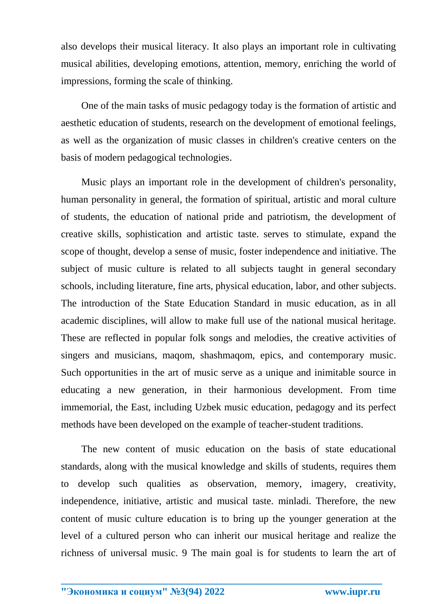also develops their musical literacy. It also plays an important role in cultivating musical abilities, developing emotions, attention, memory, enriching the world of impressions, forming the scale of thinking.

One of the main tasks of music pedagogy today is the formation of artistic and aesthetic education of students, research on the development of emotional feelings, as well as the organization of music classes in children's creative centers on the basis of modern pedagogical technologies.

Music plays an important role in the development of children's personality, human personality in general, the formation of spiritual, artistic and moral culture of students, the education of national pride and patriotism, the development of creative skills, sophistication and artistic taste. serves to stimulate, expand the scope of thought, develop a sense of music, foster independence and initiative. The subject of music culture is related to all subjects taught in general secondary schools, including literature, fine arts, physical education, labor, and other subjects. The introduction of the State Education Standard in music education, as in all academic disciplines, will allow to make full use of the national musical heritage. These are reflected in popular folk songs and melodies, the creative activities of singers and musicians, maqom, shashmaqom, epics, and contemporary music. Such opportunities in the art of music serve as a unique and inimitable source in educating a new generation, in their harmonious development. From time immemorial, the East, including Uzbek music education, pedagogy and its perfect methods have been developed on the example of teacher-student traditions.

The new content of music education on the basis of state educational standards, along with the musical knowledge and skills of students, requires them to develop such qualities as observation, memory, imagery, creativity, independence, initiative, artistic and musical taste. minladi. Therefore, the new content of music culture education is to bring up the younger generation at the level of a cultured person who can inherit our musical heritage and realize the richness of universal music. 9 The main goal is for students to learn the art of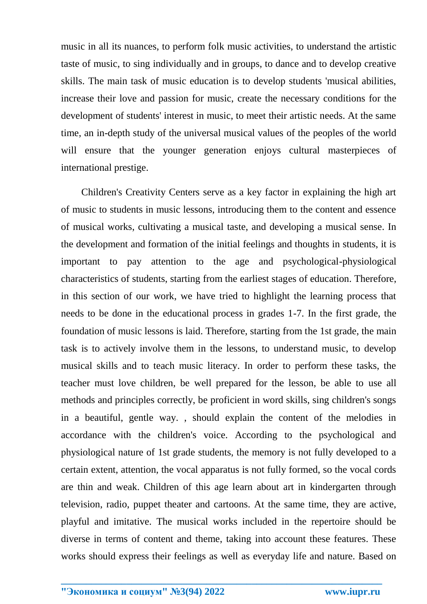music in all its nuances, to perform folk music activities, to understand the artistic taste of music, to sing individually and in groups, to dance and to develop creative skills. The main task of music education is to develop students 'musical abilities, increase their love and passion for music, create the necessary conditions for the development of students' interest in music, to meet their artistic needs. At the same time, an in-depth study of the universal musical values of the peoples of the world will ensure that the younger generation enjoys cultural masterpieces of international prestige.

Children's Creativity Centers serve as a key factor in explaining the high art of music to students in music lessons, introducing them to the content and essence of musical works, cultivating a musical taste, and developing a musical sense. In the development and formation of the initial feelings and thoughts in students, it is important to pay attention to the age and psychological-physiological characteristics of students, starting from the earliest stages of education. Therefore, in this section of our work, we have tried to highlight the learning process that needs to be done in the educational process in grades 1-7. In the first grade, the foundation of music lessons is laid. Therefore, starting from the 1st grade, the main task is to actively involve them in the lessons, to understand music, to develop musical skills and to teach music literacy. In order to perform these tasks, the teacher must love children, be well prepared for the lesson, be able to use all methods and principles correctly, be proficient in word skills, sing children's songs in a beautiful, gentle way. , should explain the content of the melodies in accordance with the children's voice. According to the psychological and physiological nature of 1st grade students, the memory is not fully developed to a certain extent, attention, the vocal apparatus is not fully formed, so the vocal cords are thin and weak. Children of this age learn about art in kindergarten through television, radio, puppet theater and cartoons. At the same time, they are active, playful and imitative. The musical works included in the repertoire should be diverse in terms of content and theme, taking into account these features. These works should express their feelings as well as everyday life and nature. Based on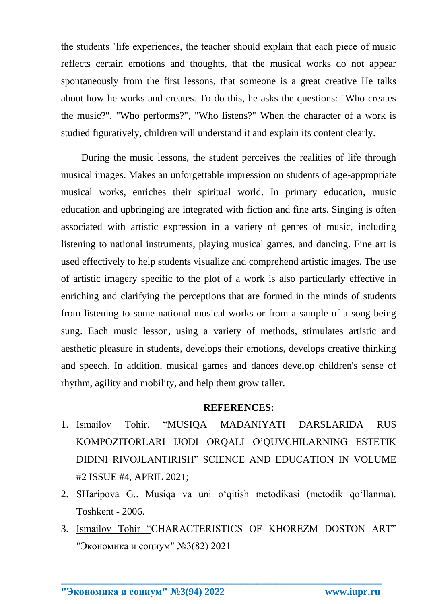the students 'life experiences, the teacher should explain that each piece of music reflects certain emotions and thoughts, that the musical works do not appear spontaneously from the first lessons, that someone is a great creative He talks about how he works and creates. To do this, he asks the questions: "Who creates the music?", "Who performs?", "Who listens?" When the character of a work is studied figuratively, children will understand it and explain its content clearly.

During the music lessons, the student perceives the realities of life through musical images. Makes an unforgettable impression on students of age-appropriate musical works, enriches their spiritual world. In primary education, music education and upbringing are integrated with fiction and fine arts. Singing is often associated with artistic expression in a variety of genres of music, including listening to national instruments, playing musical games, and dancing. Fine art is used effectively to help students visualize and comprehend artistic images. The use of artistic imagery specific to the plot of a work is also particularly effective in enriching and clarifying the perceptions that are formed in the minds of students from listening to some national musical works or from a sample of a song being sung. Each music lesson, using a variety of methods, stimulates artistic and aesthetic pleasure in students, develops their emotions, develops creative thinking and speech. In addition, musical games and dances develop children's sense of rhythm, agility and mobility, and help them grow taller.

## **REFERENCES:**

- 1. Ismailov Tohir. "MUSIQA MADANIYATI DARSLARIDA RUS KOMPOZITORLARI IJODI ORQALI O'QUVCHILARNING ESTETIK DIDINI RIVOJLANTIRISH" SCIENCE AND EDUCATION IN VOLUME #2 ISSUE #4, APRIL 2021;
- 2. SHaripova G.. Musiqa va uni o'qitish metodikasi (metodik qo'llanma). Toshkent - 2006.
- 3. Ismailov Tohir "CHARACTERISTICS OF KHOREZM DOSTON ART" "Экономика и социум" №3(82) 2021